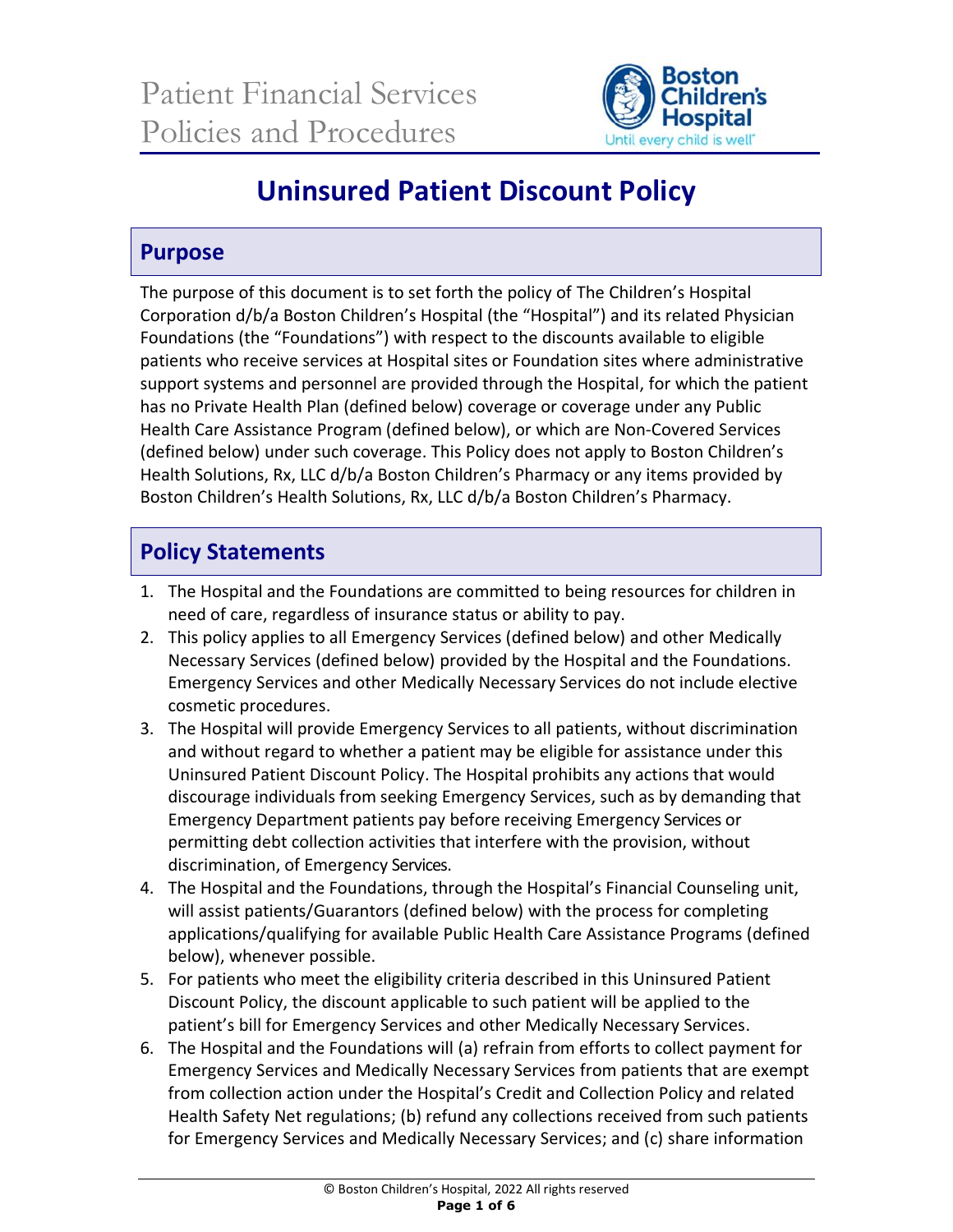

# **Uninsured Patient Discount Policy**

### **Purpose**

The purpose of this document is to set forth the policy of The Children's Hospital Corporation d/b/a Boston Children's Hospital (the "Hospital") and its related Physician Foundations (the "Foundations") with respect to the discounts available to eligible patients who receive services at Hospital sites or Foundation sites where administrative support systems and personnel are provided through the Hospital, for which the patient has no Private Health Plan (defined below) coverage or coverage under any Public Health Care Assistance Program (defined below), or which are Non-Covered Services (defined below) under such coverage. This Policy does not apply to Boston Children's Health Solutions, Rx, LLC d/b/a Boston Children's Pharmacy or any items provided by Boston Children's Health Solutions, Rx, LLC d/b/a Boston Children's Pharmacy.

# **Policy Statements**

- 1. The Hospital and the Foundations are committed to being resources for children in need of care, regardless of insurance status or ability to pay.
- 2. This policy applies to all Emergency Services (defined below) and other Medically Necessary Services (defined below) provided by the Hospital and the Foundations. Emergency Services and other Medically Necessary Services do not include elective cosmetic procedures.
- 3. The Hospital will provide Emergency Services to all patients, without discrimination and without regard to whether a patient may be eligible for assistance under this Uninsured Patient Discount Policy. The Hospital prohibits any actions that would discourage individuals from seeking Emergency Services, such as by demanding that Emergency Department patients pay before receiving Emergency Services or permitting debt collection activities that interfere with the provision, without discrimination, of Emergency Services.
- 4. The Hospital and the Foundations, through the Hospital's Financial Counseling unit, will assist patients/Guarantors (defined below) with the process for completing applications/qualifying for available Public Health Care Assistance Programs (defined below), whenever possible.
- 5. For patients who meet the eligibility criteria described in this Uninsured Patient Discount Policy, the discount applicable to such patient will be applied to the patient's bill for Emergency Services and other Medically Necessary Services.
- 6. The Hospital and the Foundations will (a) refrain from efforts to collect payment for Emergency Services and Medically Necessary Services from patients that are exempt from collection action under the Hospital's Credit and Collection Policy and related Health Safety Net regulations; (b) refund any collections received from such patients for Emergency Services and Medically Necessary Services; and (c) share information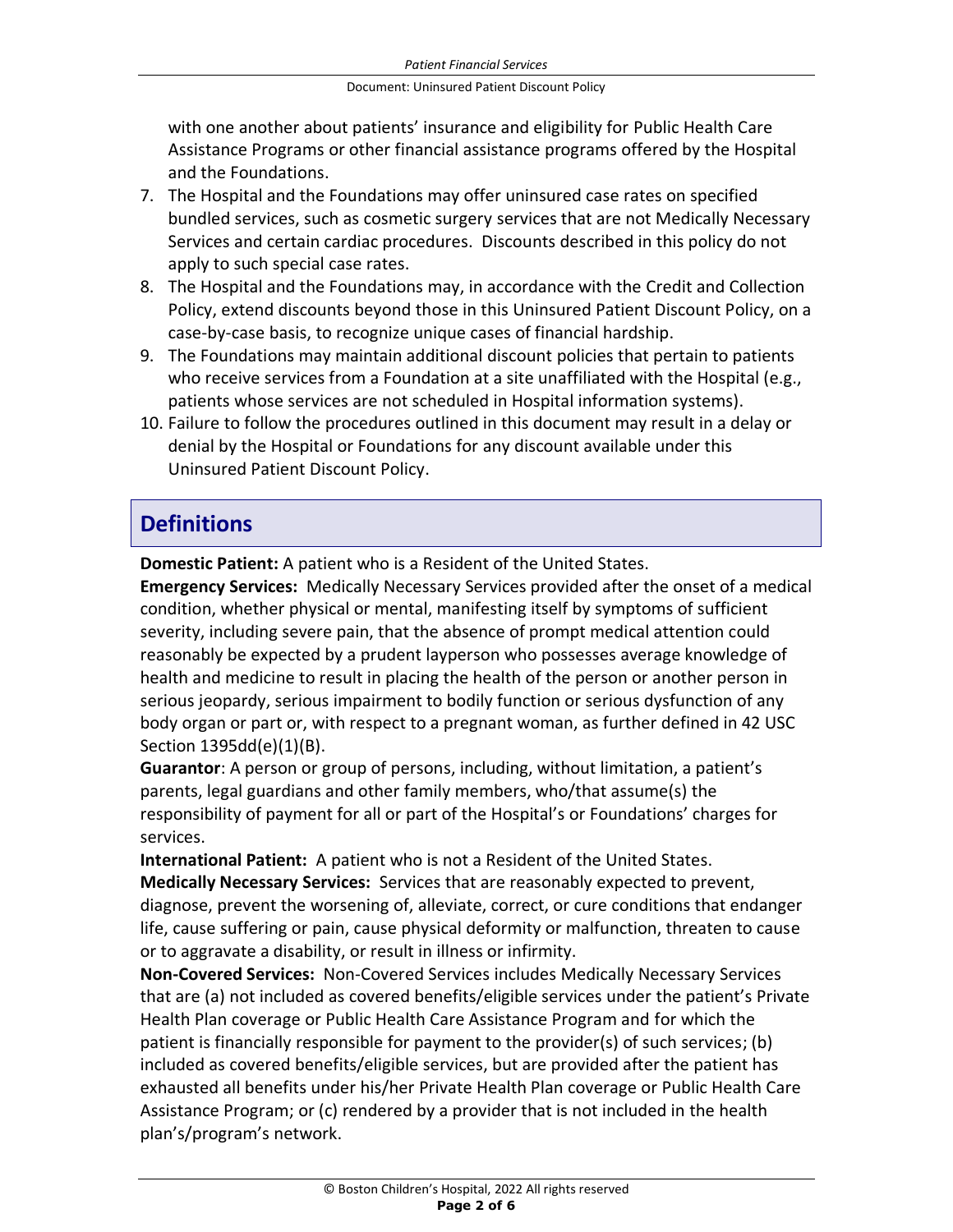with one another about patients' insurance and eligibility for Public Health Care Assistance Programs or other financial assistance programs offered by the Hospital and the Foundations.

- 7. The Hospital and the Foundations may offer uninsured case rates on specified bundled services, such as cosmetic surgery services that are not Medically Necessary Services and certain cardiac procedures. Discounts described in this policy do not apply to such special case rates.
- 8. The Hospital and the Foundations may, in accordance with the Credit and Collection Policy, extend discounts beyond those in this Uninsured Patient Discount Policy, on a case-by-case basis, to recognize unique cases of financial hardship.
- 9. The Foundations may maintain additional discount policies that pertain to patients who receive services from a Foundation at a site unaffiliated with the Hospital (e.g., patients whose services are not scheduled in Hospital information systems).
- 10. Failure to follow the procedures outlined in this document may result in a delay or denial by the Hospital or Foundations for any discount available under this Uninsured Patient Discount Policy.

## **Definitions**

**Domestic Patient:** A patient who is a Resident of the United States.

**Emergency Services:** Medically Necessary Services provided after the onset of a medical condition, whether physical or mental, manifesting itself by symptoms of sufficient severity, including severe pain, that the absence of prompt medical attention could reasonably be expected by a prudent layperson who possesses average knowledge of health and medicine to result in placing the health of the person or another person in serious jeopardy, serious impairment to bodily function or serious dysfunction of any body organ or part or, with respect to a pregnant woman, as further defined in 42 USC Section 1395dd(e)(1)(B).

**Guarantor**: A person or group of persons, including, without limitation, a patient's parents, legal guardians and other family members, who/that assume(s) the responsibility of payment for all or part of the Hospital's or Foundations' charges for services.

**International Patient:** A patient who is not a Resident of the United States.

**Medically Necessary Services:** Services that are reasonably expected to prevent, diagnose, prevent the worsening of, alleviate, correct, or cure conditions that endanger life, cause suffering or pain, cause physical deformity or malfunction, threaten to cause or to aggravate a disability, or result in illness or infirmity.

**Non-Covered Services:** Non-Covered Services includes Medically Necessary Services that are (a) not included as covered benefits/eligible services under the patient's Private Health Plan coverage or Public Health Care Assistance Program and for which the patient is financially responsible for payment to the provider(s) of such services; (b) included as covered benefits/eligible services, but are provided after the patient has exhausted all benefits under his/her Private Health Plan coverage or Public Health Care Assistance Program; or (c) rendered by a provider that is not included in the health plan's/program's network.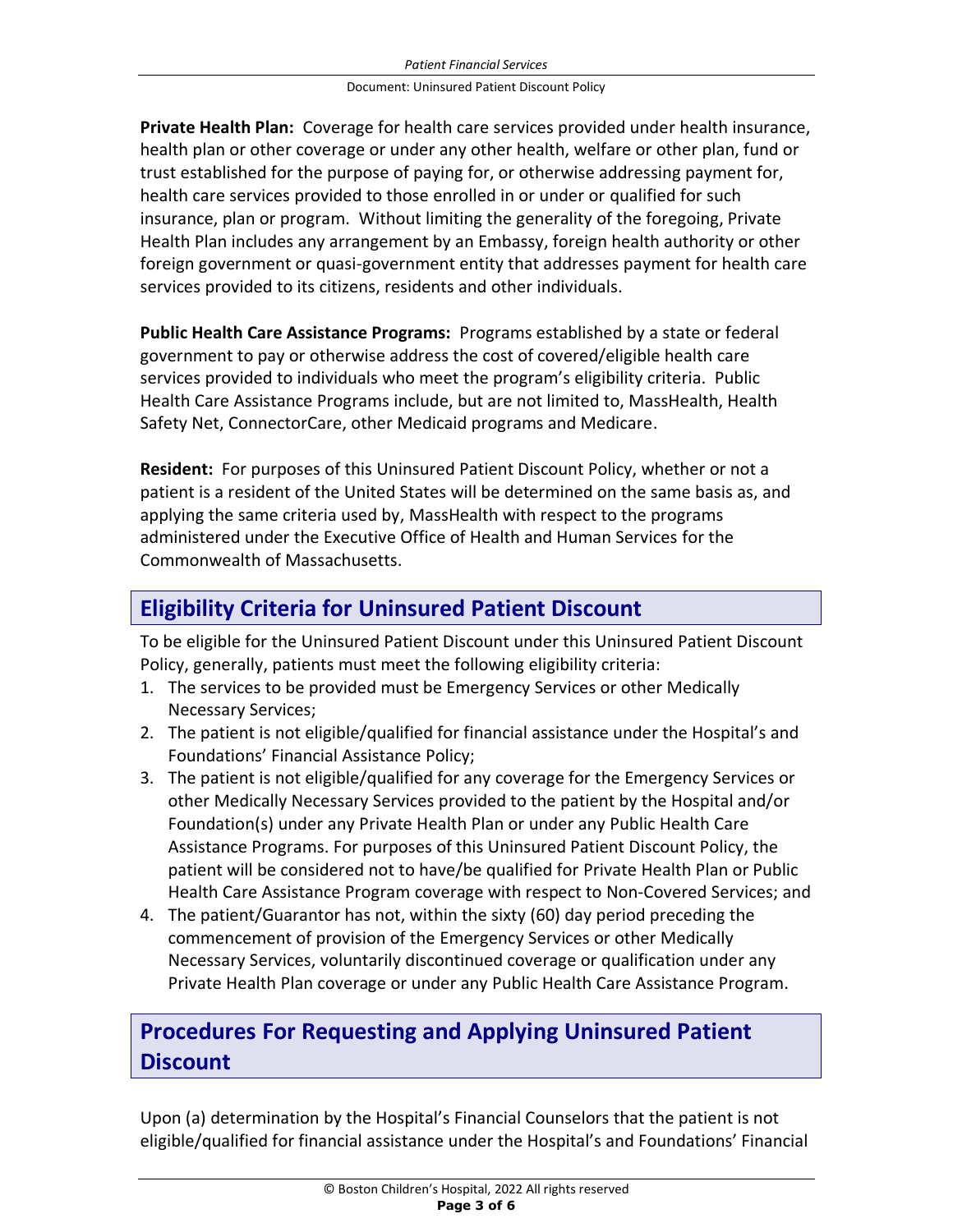**Private Health Plan:** Coverage for health care services provided under health insurance, health plan or other coverage or under any other health, welfare or other plan, fund or trust established for the purpose of paying for, or otherwise addressing payment for, health care services provided to those enrolled in or under or qualified for such insurance, plan or program. Without limiting the generality of the foregoing, Private Health Plan includes any arrangement by an Embassy, foreign health authority or other foreign government or quasi-government entity that addresses payment for health care services provided to its citizens, residents and other individuals.

**Public Health Care Assistance Programs:** Programs established by a state or federal government to pay or otherwise address the cost of covered/eligible health care services provided to individuals who meet the program's eligibility criteria. Public Health Care Assistance Programs include, but are not limited to, MassHealth, Health Safety Net, ConnectorCare, other Medicaid programs and Medicare.

**Resident:** For purposes of this Uninsured Patient Discount Policy, whether or not a patient is a resident of the United States will be determined on the same basis as, and applying the same criteria used by, MassHealth with respect to the programs administered under the Executive Office of Health and Human Services for the Commonwealth of Massachusetts.

### **Eligibility Criteria for Uninsured Patient Discount**

To be eligible for the Uninsured Patient Discount under this Uninsured Patient Discount Policy, generally, patients must meet the following eligibility criteria:

- 1. The services to be provided must be Emergency Services or other Medically Necessary Services;
- 2. The patient is not eligible/qualified for financial assistance under the Hospital's and Foundations' Financial Assistance Policy;
- 3. The patient is not eligible/qualified for any coverage for the Emergency Services or other Medically Necessary Services provided to the patient by the Hospital and/or Foundation(s) under any Private Health Plan or under any Public Health Care Assistance Programs. For purposes of this Uninsured Patient Discount Policy, the patient will be considered not to have/be qualified for Private Health Plan or Public Health Care Assistance Program coverage with respect to Non-Covered Services; and
- 4. The patient/Guarantor has not, within the sixty (60) day period preceding the commencement of provision of the Emergency Services or other Medically Necessary Services, voluntarily discontinued coverage or qualification under any Private Health Plan coverage or under any Public Health Care Assistance Program.

### **Procedures For Requesting and Applying Uninsured Patient Discount**

Upon (a) determination by the Hospital's Financial Counselors that the patient is not eligible/qualified for financial assistance under the Hospital's and Foundations' Financial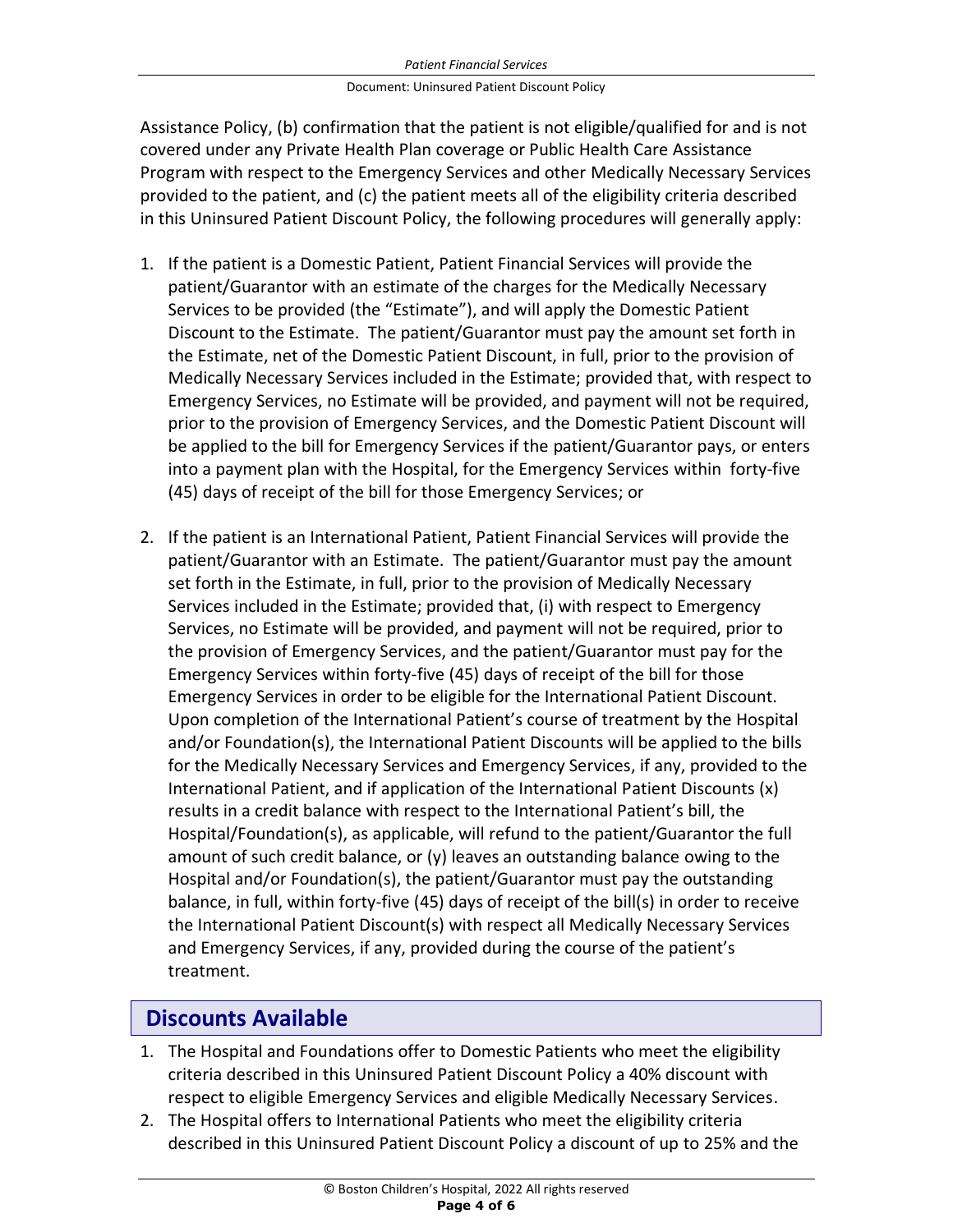#### *Patient Financial Services*

### Document: Uninsured Patient Discount Policy

Assistance Policy, (b) confirmation that the patient is not eligible/qualified for and is not covered under any Private Health Plan coverage or Public Health Care Assistance Program with respect to the Emergency Services and other Medically Necessary Services provided to the patient, and (c) the patient meets all of the eligibility criteria described in this Uninsured Patient Discount Policy, the following procedures will generally apply:

- 1. If the patient is a Domestic Patient, Patient Financial Services will provide the patient/Guarantor with an estimate of the charges for the Medically Necessary Services to be provided (the "Estimate"), and will apply the Domestic Patient Discount to the Estimate. The patient/Guarantor must pay the amount set forth in the Estimate, net of the Domestic Patient Discount, in full, prior to the provision of Medically Necessary Services included in the Estimate; provided that, with respect to Emergency Services, no Estimate will be provided, and payment will not be required, prior to the provision of Emergency Services, and the Domestic Patient Discount will be applied to the bill for Emergency Services if the patient/Guarantor pays, or enters into a payment plan with the Hospital, for the Emergency Services within forty-five (45) days of receipt of the bill for those Emergency Services; or
- 2. If the patient is an International Patient, Patient Financial Services will provide the patient/Guarantor with an Estimate. The patient/Guarantor must pay the amount set forth in the Estimate, in full, prior to the provision of Medically Necessary Services included in the Estimate; provided that, (i) with respect to Emergency Services, no Estimate will be provided, and payment will not be required, prior to the provision of Emergency Services, and the patient/Guarantor must pay for the Emergency Services within forty-five (45) days of receipt of the bill for those Emergency Services in order to be eligible for the International Patient Discount. Upon completion of the International Patient's course of treatment by the Hospital and/or Foundation(s), the International Patient Discounts will be applied to the bills for the Medically Necessary Services and Emergency Services, if any, provided to the International Patient, and if application of the International Patient Discounts (x) results in a credit balance with respect to the International Patient's bill, the Hospital/Foundation(s), as applicable, will refund to the patient/Guarantor the full amount of such credit balance, or (y) leaves an outstanding balance owing to the Hospital and/or Foundation(s), the patient/Guarantor must pay the outstanding balance, in full, within forty-five (45) days of receipt of the bill(s) in order to receive the International Patient Discount(s) with respect all Medically Necessary Services and Emergency Services, if any, provided during the course of the patient's treatment.

### **Discounts Available**

- 1. The Hospital and Foundations offer to Domestic Patients who meet the eligibility criteria described in this Uninsured Patient Discount Policy a 40% discount with respect to eligible Emergency Services and eligible Medically Necessary Services.
- 2. The Hospital offers to International Patients who meet the eligibility criteria described in this Uninsured Patient Discount Policy a discount of up to 25% and the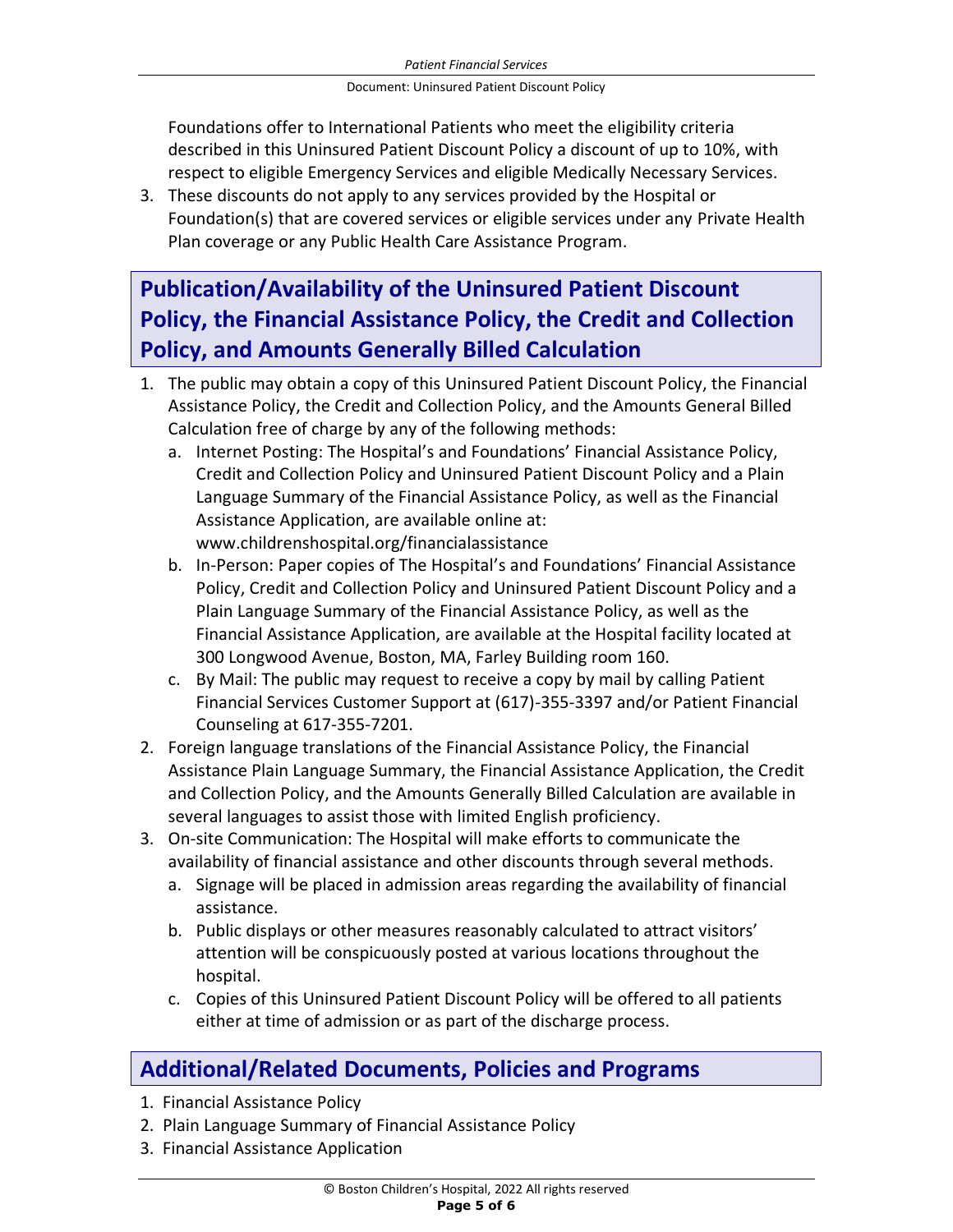Foundations offer to International Patients who meet the eligibility criteria described in this Uninsured Patient Discount Policy a discount of up to 10%, with respect to eligible Emergency Services and eligible Medically Necessary Services.

3. These discounts do not apply to any services provided by the Hospital or Foundation(s) that are covered services or eligible services under any Private Health Plan coverage or any Public Health Care Assistance Program.

## **Publication/Availability of the Uninsured Patient Discount Policy, the Financial Assistance Policy, the Credit and Collection Policy, and Amounts Generally Billed Calculation**

- 1. The public may obtain a copy of this Uninsured Patient Discount Policy, the Financial Assistance Policy, the Credit and Collection Policy, and the Amounts General Billed Calculation free of charge by any of the following methods:
	- a. Internet Posting: The Hospital's and Foundations' Financial Assistance Policy, Credit and Collection Policy and Uninsured Patient Discount Policy and a Plain Language Summary of the Financial Assistance Policy, as well as the Financial Assistance Application, are available online at: www.childrenshospital.org/financialassistance
	- b. In-Person: Paper copies of The Hospital's and Foundations' Financial Assistance Policy, Credit and Collection Policy and Uninsured Patient Discount Policy and a Plain Language Summary of the Financial Assistance Policy, as well as the Financial Assistance Application, are available at the Hospital facility located at 300 Longwood Avenue, Boston, MA, Farley Building room 160.
	- c. By Mail: The public may request to receive a copy by mail by calling Patient Financial Services Customer Support at (617)-355-3397 and/or Patient Financial Counseling at 617-355-7201.
- 2. Foreign language translations of the Financial Assistance Policy, the Financial Assistance Plain Language Summary, the Financial Assistance Application, the Credit and Collection Policy, and the Amounts Generally Billed Calculation are available in several languages to assist those with limited English proficiency.
- 3. On-site Communication: The Hospital will make efforts to communicate the availability of financial assistance and other discounts through several methods.
	- a. Signage will be placed in admission areas regarding the availability of financial assistance.
	- b. Public displays or other measures reasonably calculated to attract visitors' attention will be conspicuously posted at various locations throughout the hospital.
	- c. Copies of this Uninsured Patient Discount Policy will be offered to all patients either at time of admission or as part of the discharge process.

### **Additional/Related Documents, Policies and Programs**

- 1. Financial Assistance Policy
- 2. Plain Language Summary of Financial Assistance Policy
- 3. Financial Assistance Application